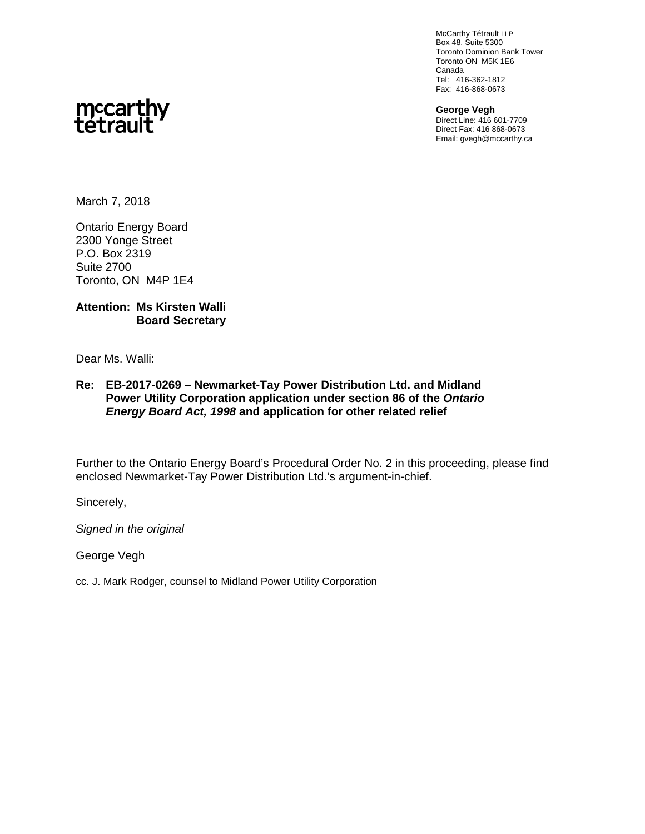McCarthy Tétrault LLP Box 48, Suite 5300 Toronto Dominion Bank Tower Toronto ON M5K 1E6 Canada Tel: 416-362-1812 Fax: 416-868-0673

**George Vegh** Direct Line: 416 601-7709 Direct Fax: 416 868-0673 Email: gvegh@mccarthy.ca



March 7, 2018

Ontario Energy Board 2300 Yonge Street P.O. Box 2319 Suite 2700 Toronto, ON M4P 1E4

#### **Attention: Ms Kirsten Walli Board Secretary**

Dear Ms. Walli:

#### **Re: EB-2017-0269 – Newmarket-Tay Power Distribution Ltd. and Midland Power Utility Corporation application under section 86 of the** *Ontario Energy Board Act, 1998* **and application for other related relief**

Further to the Ontario Energy Board's Procedural Order No. 2 in this proceeding, please find enclosed Newmarket-Tay Power Distribution Ltd.'s argument-in-chief.

Sincerely,

*Signed in the original*

George Vegh

cc. J. Mark Rodger, counsel to Midland Power Utility Corporation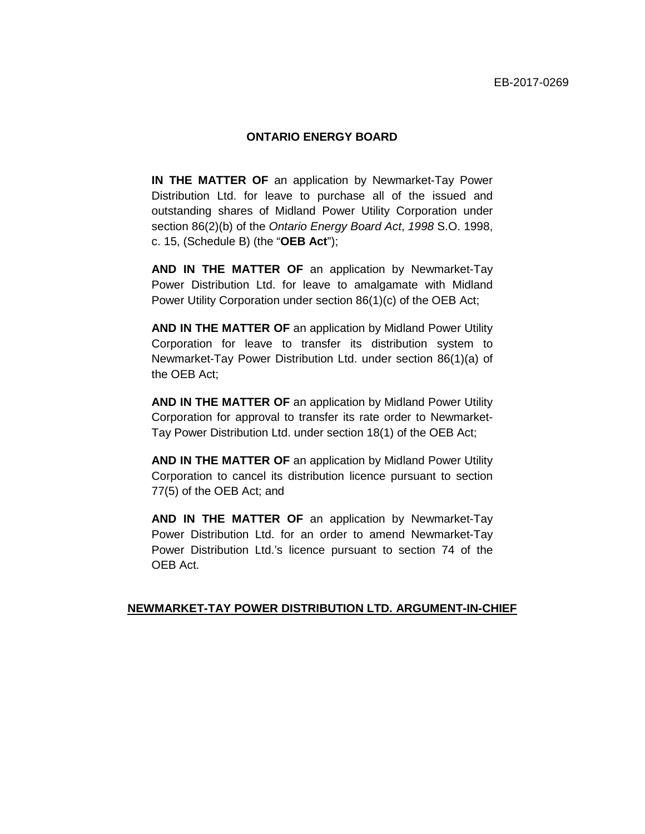#### **ONTARIO ENERGY BOARD**

**IN THE MATTER OF** an application by Newmarket-Tay Power Distribution Ltd. for leave to purchase all of the issued and outstanding shares of Midland Power Utility Corporation under section 86(2)(b) of the *Ontario Energy Board Act*, *1998* S.O. 1998, c. 15, (Schedule B) (the "**OEB Act**");

**AND IN THE MATTER OF** an application by Newmarket-Tay Power Distribution Ltd. for leave to amalgamate with Midland Power Utility Corporation under section 86(1)(c) of the OEB Act;

**AND IN THE MATTER OF** an application by Midland Power Utility Corporation for leave to transfer its distribution system to Newmarket-Tay Power Distribution Ltd. under section 86(1)(a) of the OEB Act;

**AND IN THE MATTER OF** an application by Midland Power Utility Corporation for approval to transfer its rate order to Newmarket-Tay Power Distribution Ltd. under section 18(1) of the OEB Act;

**AND IN THE MATTER OF** an application by Midland Power Utility Corporation to cancel its distribution licence pursuant to section 77(5) of the OEB Act; and

**AND IN THE MATTER OF** an application by Newmarket-Tay Power Distribution Ltd. for an order to amend Newmarket-Tay Power Distribution Ltd.'s licence pursuant to section 74 of the OEB Act.

#### **NEWMARKET-TAY POWER DISTRIBUTION LTD. ARGUMENT-IN-CHIEF**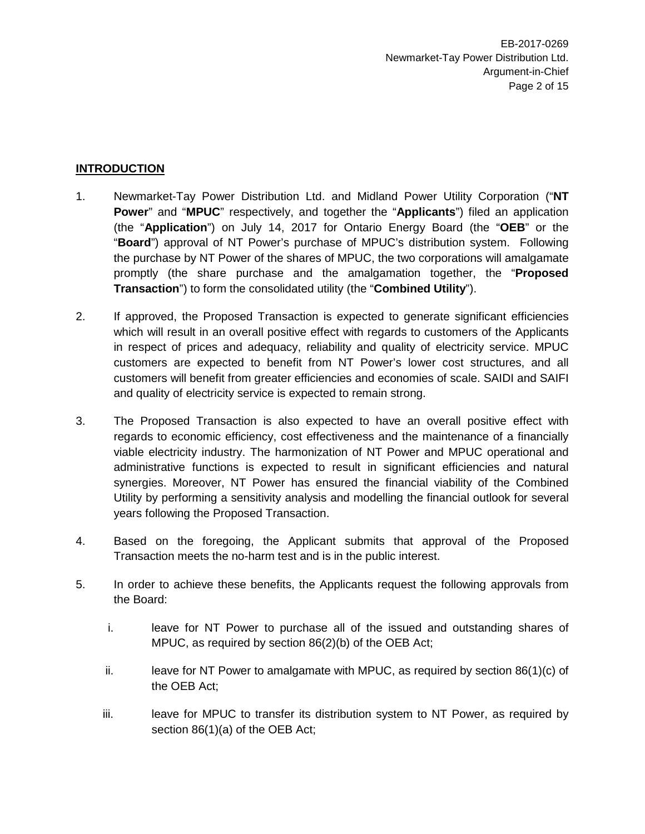## **INTRODUCTION**

- 1. Newmarket-Tay Power Distribution Ltd. and Midland Power Utility Corporation ("**NT Power**" and "**MPUC**" respectively, and together the "**Applicants**") filed an application (the "**Application**") on July 14, 2017 for Ontario Energy Board (the "**OEB**" or the "**Board**") approval of NT Power's purchase of MPUC's distribution system. Following the purchase by NT Power of the shares of MPUC, the two corporations will amalgamate promptly (the share purchase and the amalgamation together, the "**Proposed Transaction**") to form the consolidated utility (the "**Combined Utility**").
- 2. If approved, the Proposed Transaction is expected to generate significant efficiencies which will result in an overall positive effect with regards to customers of the Applicants in respect of prices and adequacy, reliability and quality of electricity service. MPUC customers are expected to benefit from NT Power's lower cost structures, and all customers will benefit from greater efficiencies and economies of scale. SAIDI and SAIFI and quality of electricity service is expected to remain strong.
- 3. The Proposed Transaction is also expected to have an overall positive effect with regards to economic efficiency, cost effectiveness and the maintenance of a financially viable electricity industry. The harmonization of NT Power and MPUC operational and administrative functions is expected to result in significant efficiencies and natural synergies. Moreover, NT Power has ensured the financial viability of the Combined Utility by performing a sensitivity analysis and modelling the financial outlook for several years following the Proposed Transaction.
- 4. Based on the foregoing, the Applicant submits that approval of the Proposed Transaction meets the no-harm test and is in the public interest.
- 5. In order to achieve these benefits, the Applicants request the following approvals from the Board:
	- i. leave for NT Power to purchase all of the issued and outstanding shares of MPUC, as required by section 86(2)(b) of the OEB Act;
	- ii. leave for NT Power to amalgamate with MPUC, as required by section  $86(1)(c)$  of the OEB Act;
	- iii. leave for MPUC to transfer its distribution system to NT Power, as required by section 86(1)(a) of the OEB Act;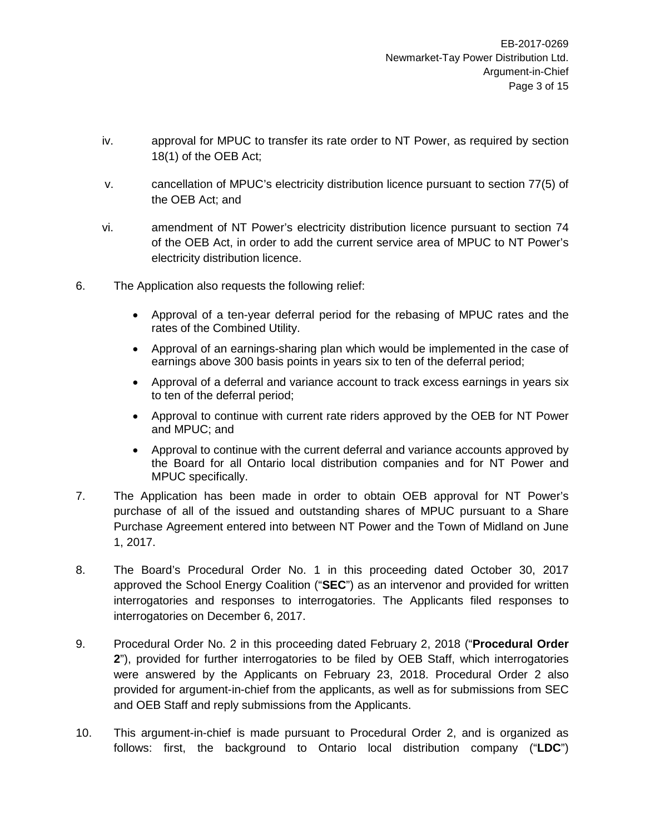- iv. approval for MPUC to transfer its rate order to NT Power, as required by section 18(1) of the OEB Act;
- v. cancellation of MPUC's electricity distribution licence pursuant to section 77(5) of the OEB Act; and
- vi. amendment of NT Power's electricity distribution licence pursuant to section 74 of the OEB Act, in order to add the current service area of MPUC to NT Power's electricity distribution licence.
- 6. The Application also requests the following relief:
	- Approval of a ten-year deferral period for the rebasing of MPUC rates and the rates of the Combined Utility.
	- Approval of an earnings-sharing plan which would be implemented in the case of earnings above 300 basis points in years six to ten of the deferral period;
	- Approval of a deferral and variance account to track excess earnings in years six to ten of the deferral period;
	- Approval to continue with current rate riders approved by the OEB for NT Power and MPUC; and
	- Approval to continue with the current deferral and variance accounts approved by the Board for all Ontario local distribution companies and for NT Power and MPUC specifically.
- 7. The Application has been made in order to obtain OEB approval for NT Power's purchase of all of the issued and outstanding shares of MPUC pursuant to a Share Purchase Agreement entered into between NT Power and the Town of Midland on June 1, 2017.
- 8. The Board's Procedural Order No. 1 in this proceeding dated October 30, 2017 approved the School Energy Coalition ("**SEC**") as an intervenor and provided for written interrogatories and responses to interrogatories. The Applicants filed responses to interrogatories on December 6, 2017.
- 9. Procedural Order No. 2 in this proceeding dated February 2, 2018 ("**Procedural Order 2**"), provided for further interrogatories to be filed by OEB Staff, which interrogatories were answered by the Applicants on February 23, 2018. Procedural Order 2 also provided for argument-in-chief from the applicants, as well as for submissions from SEC and OEB Staff and reply submissions from the Applicants.
- 10. This argument-in-chief is made pursuant to Procedural Order 2, and is organized as follows: first, the background to Ontario local distribution company ("**LDC**")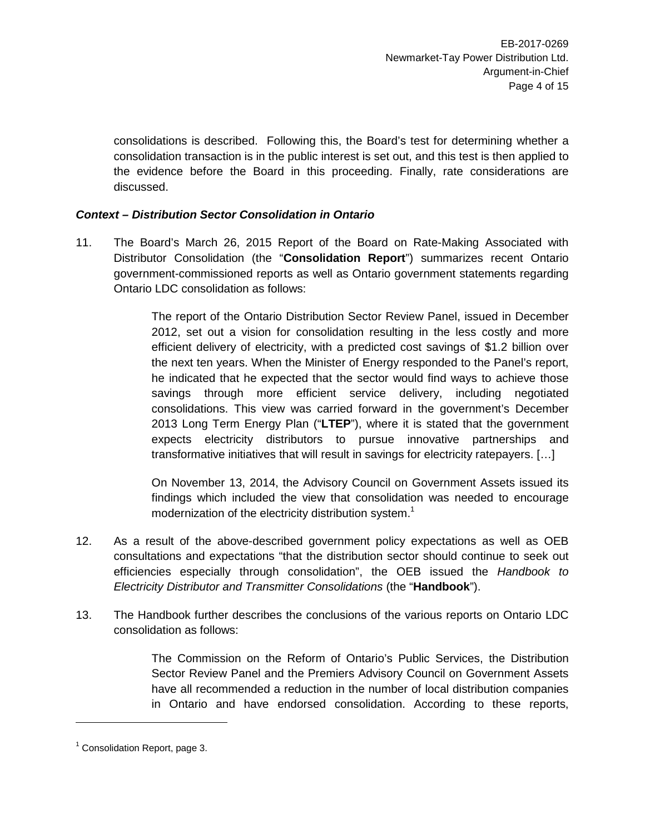consolidations is described. Following this, the Board's test for determining whether a consolidation transaction is in the public interest is set out, and this test is then applied to the evidence before the Board in this proceeding. Finally, rate considerations are discussed.

# *Context – Distribution Sector Consolidation in Ontario*

11. The Board's March 26, 2015 Report of the Board on Rate-Making Associated with Distributor Consolidation (the "**Consolidation Report**") summarizes recent Ontario government-commissioned reports as well as Ontario government statements regarding Ontario LDC consolidation as follows:

> The report of the Ontario Distribution Sector Review Panel, issued in December 2012, set out a vision for consolidation resulting in the less costly and more efficient delivery of electricity, with a predicted cost savings of \$1.2 billion over the next ten years. When the Minister of Energy responded to the Panel's report, he indicated that he expected that the sector would find ways to achieve those savings through more efficient service delivery, including negotiated consolidations. This view was carried forward in the government's December 2013 Long Term Energy Plan ("**LTEP**"), where it is stated that the government expects electricity distributors to pursue innovative partnerships and transformative initiatives that will result in savings for electricity ratepayers. […]

> On November 13, 2014, the Advisory Council on Government Assets issued its findings which included the view that consolidation was needed to encourage modernization of the electricity distribution system.<sup>1</sup>

- 12. As a result of the above-described government policy expectations as well as OEB consultations and expectations "that the distribution sector should continue to seek out efficiencies especially through consolidation", the OEB issued the *Handbook to Electricity Distributor and Transmitter Consolidations* (the "**Handbook**").
- 13. The Handbook further describes the conclusions of the various reports on Ontario LDC consolidation as follows:

The Commission on the Reform of Ontario's Public Services, the Distribution Sector Review Panel and the Premiers Advisory Council on Government Assets have all recommended a reduction in the number of local distribution companies in Ontario and have endorsed consolidation. According to these reports,

 $1$  Consolidation Report, page 3.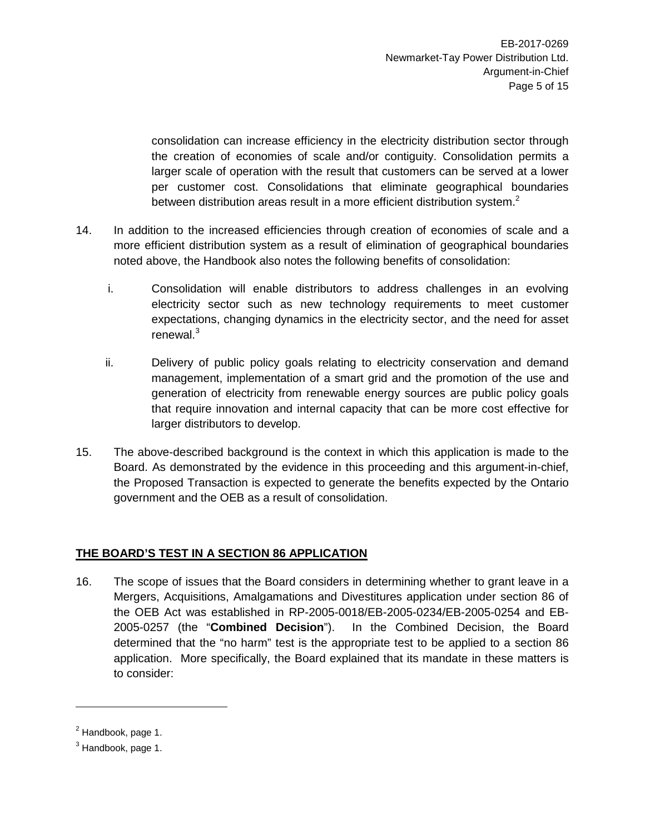consolidation can increase efficiency in the electricity distribution sector through the creation of economies of scale and/or contiguity. Consolidation permits a larger scale of operation with the result that customers can be served at a lower per customer cost. Consolidations that eliminate geographical boundaries between distribution areas result in a more efficient distribution system.<sup>2</sup>

- 14. In addition to the increased efficiencies through creation of economies of scale and a more efficient distribution system as a result of elimination of geographical boundaries noted above, the Handbook also notes the following benefits of consolidation:
	- i. Consolidation will enable distributors to address challenges in an evolving electricity sector such as new technology requirements to meet customer expectations, changing dynamics in the electricity sector, and the need for asset renewal.<sup>3</sup>
	- ii. Delivery of public policy goals relating to electricity conservation and demand management, implementation of a smart grid and the promotion of the use and generation of electricity from renewable energy sources are public policy goals that require innovation and internal capacity that can be more cost effective for larger distributors to develop.
- 15. The above-described background is the context in which this application is made to the Board. As demonstrated by the evidence in this proceeding and this argument-in-chief, the Proposed Transaction is expected to generate the benefits expected by the Ontario government and the OEB as a result of consolidation.

# **THE BOARD'S TEST IN A SECTION 86 APPLICATION**

16. The scope of issues that the Board considers in determining whether to grant leave in a Mergers, Acquisitions, Amalgamations and Divestitures application under section 86 of the OEB Act was established in RP-2005-0018/EB-2005-0234/EB-2005-0254 and EB-2005-0257 (the "**Combined Decision**"). In the Combined Decision, the Board determined that the "no harm" test is the appropriate test to be applied to a section 86 application. More specifically, the Board explained that its mandate in these matters is to consider:

<sup>2</sup> Handbook, page 1.

<sup>&</sup>lt;sup>3</sup> Handbook, page 1.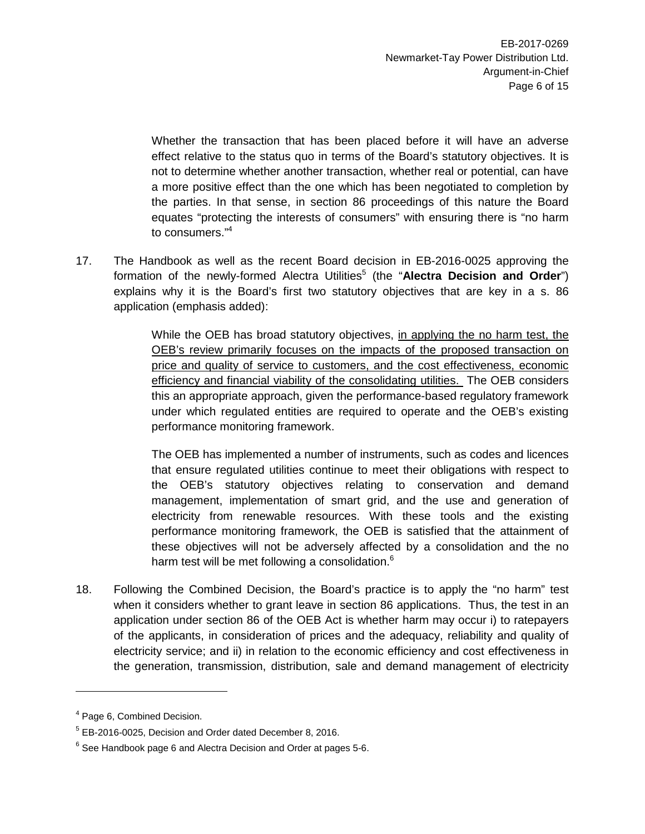Whether the transaction that has been placed before it will have an adverse effect relative to the status quo in terms of the Board's statutory objectives. It is not to determine whether another transaction, whether real or potential, can have a more positive effect than the one which has been negotiated to completion by the parties. In that sense, in section 86 proceedings of this nature the Board equates "protecting the interests of consumers" with ensuring there is "no harm to consumers."<sup>4</sup>

17. The Handbook as well as the recent Board decision in EB-2016-0025 approving the formation of the newly-formed Alectra Utilities<sup>5</sup> (the "Alectra Decision and Order") explains why it is the Board's first two statutory objectives that are key in a s. 86 application (emphasis added):

> While the OEB has broad statutory objectives, in applying the no harm test, the OEB's review primarily focuses on the impacts of the proposed transaction on price and quality of service to customers, and the cost effectiveness, economic efficiency and financial viability of the consolidating utilities. The OEB considers this an appropriate approach, given the performance-based regulatory framework under which regulated entities are required to operate and the OEB's existing performance monitoring framework.

> The OEB has implemented a number of instruments, such as codes and licences that ensure regulated utilities continue to meet their obligations with respect to the OEB's statutory objectives relating to conservation and demand management, implementation of smart grid, and the use and generation of electricity from renewable resources. With these tools and the existing performance monitoring framework, the OEB is satisfied that the attainment of these objectives will not be adversely affected by a consolidation and the no harm test will be met following a consolidation.<sup>6</sup>

18. Following the Combined Decision, the Board's practice is to apply the "no harm" test when it considers whether to grant leave in section 86 applications. Thus, the test in an application under section 86 of the OEB Act is whether harm may occur i) to ratepayers of the applicants, in consideration of prices and the adequacy, reliability and quality of electricity service; and ii) in relation to the economic efficiency and cost effectiveness in the generation, transmission, distribution, sale and demand management of electricity

<sup>&</sup>lt;sup>4</sup> Page 6, Combined Decision.

<sup>5</sup> EB-2016-0025, Decision and Order dated December 8, 2016.

 $^6$  See Handbook page 6 and Alectra Decision and Order at pages 5-6.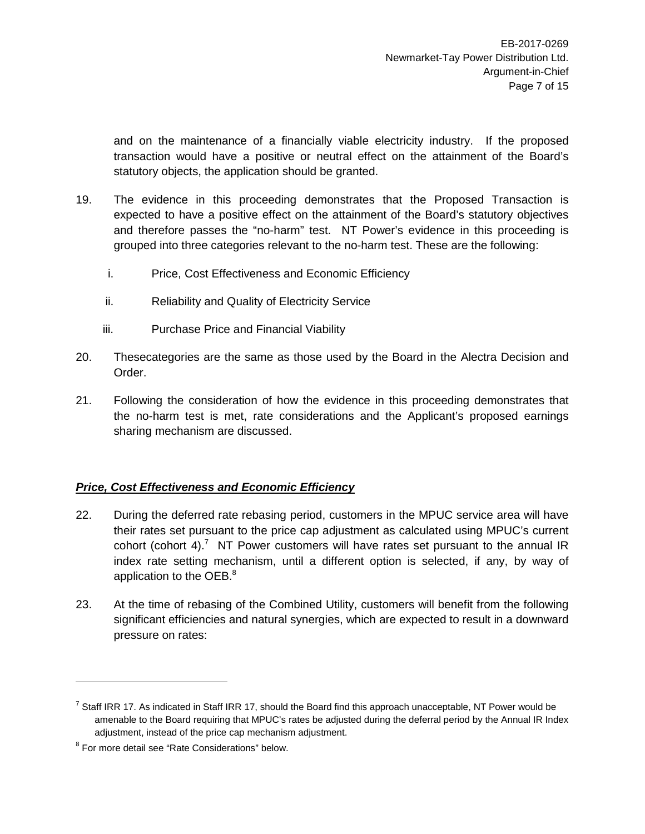and on the maintenance of a financially viable electricity industry. If the proposed transaction would have a positive or neutral effect on the attainment of the Board's statutory objects, the application should be granted.

- 19. The evidence in this proceeding demonstrates that the Proposed Transaction is expected to have a positive effect on the attainment of the Board's statutory objectives and therefore passes the "no-harm" test. NT Power's evidence in this proceeding is grouped into three categories relevant to the no-harm test. These are the following:
	- i. Price, Cost Effectiveness and Economic Efficiency
	- ii. Reliability and Quality of Electricity Service
	- iii. Purchase Price and Financial Viability
- 20. Thesecategories are the same as those used by the Board in the Alectra Decision and Order.
- 21. Following the consideration of how the evidence in this proceeding demonstrates that the no-harm test is met, rate considerations and the Applicant's proposed earnings sharing mechanism are discussed.

# *Price, Cost Effectiveness and Economic Efficiency*

- 22. During the deferred rate rebasing period, customers in the MPUC service area will have their rates set pursuant to the price cap adjustment as calculated using MPUC's current cohort (cohort 4).<sup>7</sup> NT Power customers will have rates set pursuant to the annual IR index rate setting mechanism, until a different option is selected, if any, by way of application to the OEB.<sup>8</sup>
- 23. At the time of rebasing of the Combined Utility, customers will benefit from the following significant efficiencies and natural synergies, which are expected to result in a downward pressure on rates:

<sup>&</sup>lt;sup>7</sup> Staff IRR 17. As indicated in Staff IRR 17, should the Board find this approach unacceptable, NT Power would be amenable to the Board requiring that MPUC's rates be adjusted during the deferral period by the Annual IR Index adjustment, instead of the price cap mechanism adjustment.

<sup>&</sup>lt;sup>8</sup> For more detail see "Rate Considerations" below.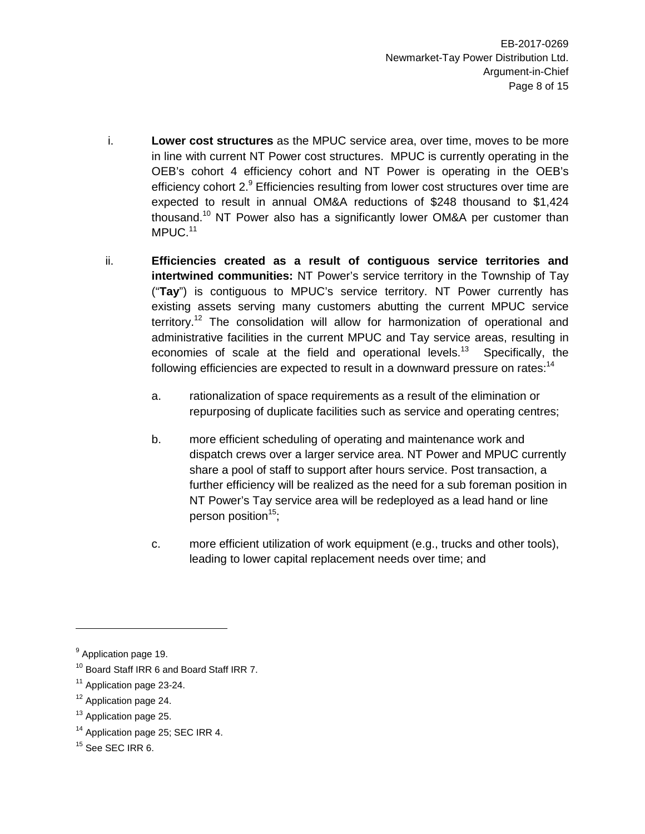- i. **Lower cost structures** as the MPUC service area, over time, moves to be more in line with current NT Power cost structures. MPUC is currently operating in the OEB's cohort 4 efficiency cohort and NT Power is operating in the OEB's efficiency cohort  $2<sup>9</sup>$  Efficiencies resulting from lower cost structures over time are expected to result in annual OM&A reductions of \$248 thousand to \$1,424 thousand.<sup>10</sup> NT Power also has a significantly lower OM&A per customer than MPUC.<sup>11</sup>
- ii. **Efficiencies created as a result of contiguous service territories and intertwined communities:** NT Power's service territory in the Township of Tay ("**Tay**") is contiguous to MPUC's service territory. NT Power currently has existing assets serving many customers abutting the current MPUC service territory.<sup>12</sup> The consolidation will allow for harmonization of operational and administrative facilities in the current MPUC and Tay service areas, resulting in economies of scale at the field and operational levels.<sup>13</sup> Specifically, the following efficiencies are expected to result in a downward pressure on rates:<sup>14</sup>
	- a. rationalization of space requirements as a result of the elimination or repurposing of duplicate facilities such as service and operating centres;
	- b. more efficient scheduling of operating and maintenance work and dispatch crews over a larger service area. NT Power and MPUC currently share a pool of staff to support after hours service. Post transaction, a further efficiency will be realized as the need for a sub foreman position in NT Power's Tay service area will be redeployed as a lead hand or line person position $15$ ;
	- c. more efficient utilization of work equipment (e.g., trucks and other tools), leading to lower capital replacement needs over time; and

<sup>12</sup> Application page 24.

<sup>&</sup>lt;sup>9</sup> Application page 19.

<sup>&</sup>lt;sup>10</sup> Board Staff IRR 6 and Board Staff IRR 7.

<sup>&</sup>lt;sup>11</sup> Application page 23-24.

<sup>&</sup>lt;sup>13</sup> Application page 25.

<sup>&</sup>lt;sup>14</sup> Application page 25; SEC IRR 4.

<sup>&</sup>lt;sup>15</sup> See SEC IRR 6.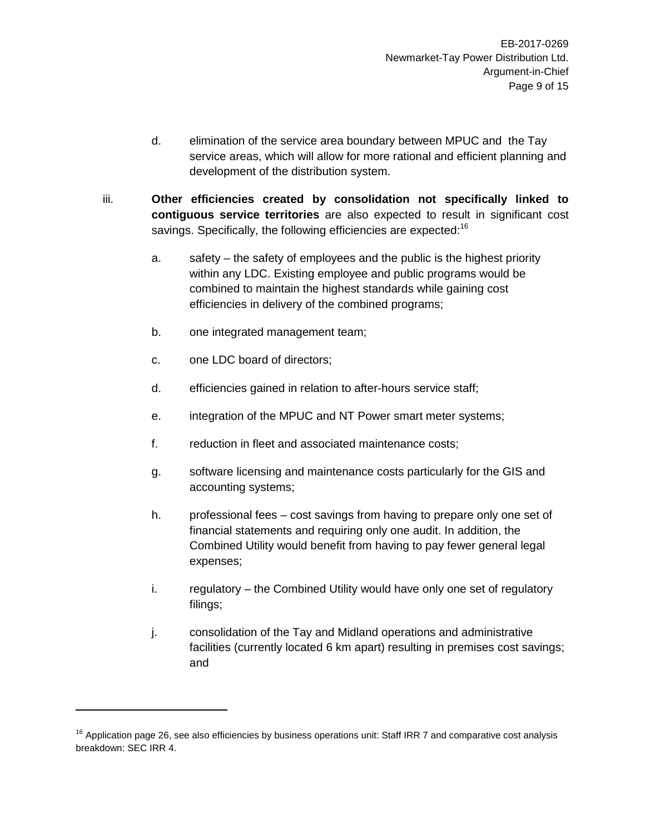- d. elimination of the service area boundary between MPUC and the Tay service areas, which will allow for more rational and efficient planning and development of the distribution system.
- iii. **Other efficiencies created by consolidation not specifically linked to contiguous service territories** are also expected to result in significant cost savings. Specifically, the following efficiencies are expected:<sup>16</sup>
	- a. safety the safety of employees and the public is the highest priority within any LDC. Existing employee and public programs would be combined to maintain the highest standards while gaining cost efficiencies in delivery of the combined programs;
	- b. one integrated management team;
	- c. one LDC board of directors;
	- d. efficiencies gained in relation to after-hours service staff;
	- e. integration of the MPUC and NT Power smart meter systems;
	- f. reduction in fleet and associated maintenance costs;
	- g. software licensing and maintenance costs particularly for the GIS and accounting systems;
	- h. professional fees cost savings from having to prepare only one set of financial statements and requiring only one audit. In addition, the Combined Utility would benefit from having to pay fewer general legal expenses;
	- i. regulatory the Combined Utility would have only one set of regulatory filings;
	- j. consolidation of the Tay and Midland operations and administrative facilities (currently located 6 km apart) resulting in premises cost savings; and

 $16$  Application page 26, see also efficiencies by business operations unit: Staff IRR 7 and comparative cost analysis breakdown: SEC IRR 4.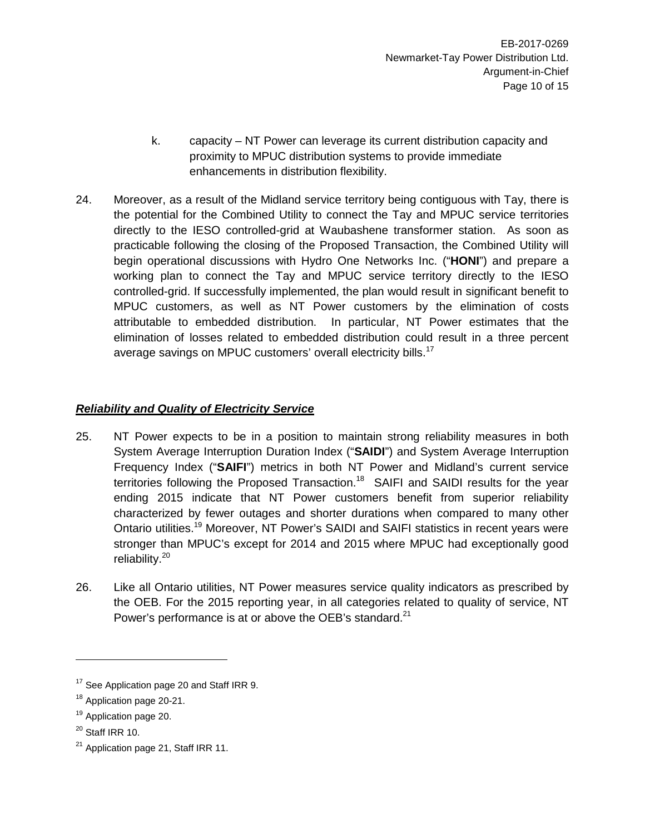- k. capacity NT Power can leverage its current distribution capacity and proximity to MPUC distribution systems to provide immediate enhancements in distribution flexibility.
- 24. Moreover, as a result of the Midland service territory being contiguous with Tay, there is the potential for the Combined Utility to connect the Tay and MPUC service territories directly to the IESO controlled-grid at Waubashene transformer station. As soon as practicable following the closing of the Proposed Transaction, the Combined Utility will begin operational discussions with Hydro One Networks Inc. ("**HONI**") and prepare a working plan to connect the Tay and MPUC service territory directly to the IESO controlled-grid. If successfully implemented, the plan would result in significant benefit to MPUC customers, as well as NT Power customers by the elimination of costs attributable to embedded distribution. In particular, NT Power estimates that the elimination of losses related to embedded distribution could result in a three percent average savings on MPUC customers' overall electricity bills.<sup>17</sup>

# *Reliability and Quality of Electricity Service*

- 25. NT Power expects to be in a position to maintain strong reliability measures in both System Average Interruption Duration Index ("**SAIDI**") and System Average Interruption Frequency Index ("**SAIFI**") metrics in both NT Power and Midland's current service territories following the Proposed Transaction.<sup>18</sup> SAIFI and SAIDI results for the year ending 2015 indicate that NT Power customers benefit from superior reliability characterized by fewer outages and shorter durations when compared to many other Ontario utilities.<sup>19</sup> Moreover, NT Power's SAIDI and SAIFI statistics in recent years were stronger than MPUC's except for 2014 and 2015 where MPUC had exceptionally good reliability.<sup>20</sup>
- 26. Like all Ontario utilities, NT Power measures service quality indicators as prescribed by the OEB. For the 2015 reporting year, in all categories related to quality of service, NT Power's performance is at or above the OEB's standard.<sup>21</sup>

<sup>&</sup>lt;sup>17</sup> See Application page 20 and Staff IRR 9.

<sup>&</sup>lt;sup>18</sup> Application page 20-21.

<sup>&</sup>lt;sup>19</sup> Application page 20.

 $20$  Staff IRR 10.

<sup>&</sup>lt;sup>21</sup> Application page 21, Staff IRR 11.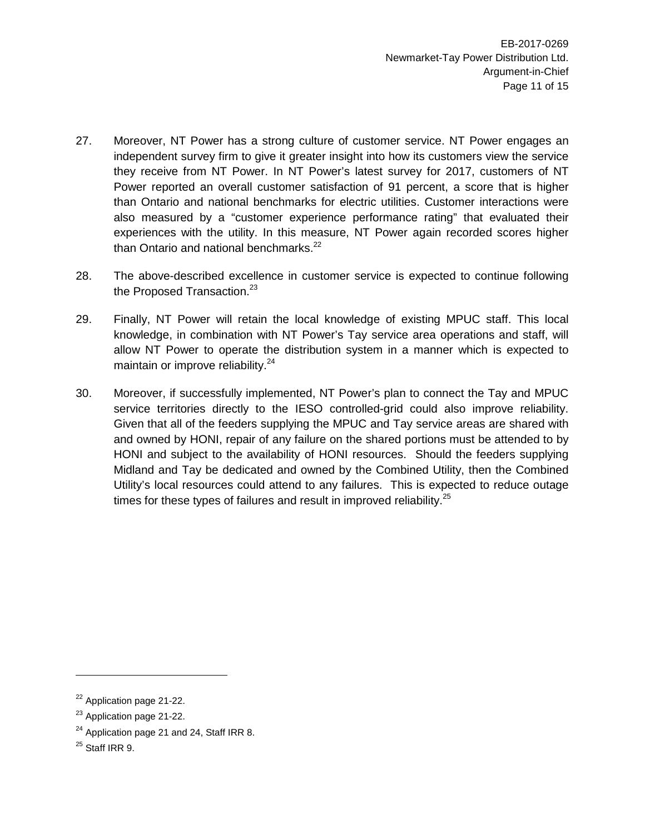- 27. Moreover, NT Power has a strong culture of customer service. NT Power engages an independent survey firm to give it greater insight into how its customers view the service they receive from NT Power. In NT Power's latest survey for 2017, customers of NT Power reported an overall customer satisfaction of 91 percent, a score that is higher than Ontario and national benchmarks for electric utilities. Customer interactions were also measured by a "customer experience performance rating" that evaluated their experiences with the utility. In this measure, NT Power again recorded scores higher than Ontario and national benchmarks. $^{22}$
- 28. The above-described excellence in customer service is expected to continue following the Proposed Transaction. $23$
- 29. Finally, NT Power will retain the local knowledge of existing MPUC staff. This local knowledge, in combination with NT Power's Tay service area operations and staff, will allow NT Power to operate the distribution system in a manner which is expected to maintain or improve reliability.<sup>24</sup>
- 30. Moreover, if successfully implemented, NT Power's plan to connect the Tay and MPUC service territories directly to the IESO controlled-grid could also improve reliability. Given that all of the feeders supplying the MPUC and Tay service areas are shared with and owned by HONI, repair of any failure on the shared portions must be attended to by HONI and subject to the availability of HONI resources. Should the feeders supplying Midland and Tay be dedicated and owned by the Combined Utility, then the Combined Utility's local resources could attend to any failures. This is expected to reduce outage times for these types of failures and result in improved reliability. $25$

<sup>&</sup>lt;sup>22</sup> Application page 21-22.

<sup>&</sup>lt;sup>23</sup> Application page 21-22.

<sup>&</sup>lt;sup>24</sup> Application page 21 and 24, Staff IRR 8.

 $25$  Staff IRR 9.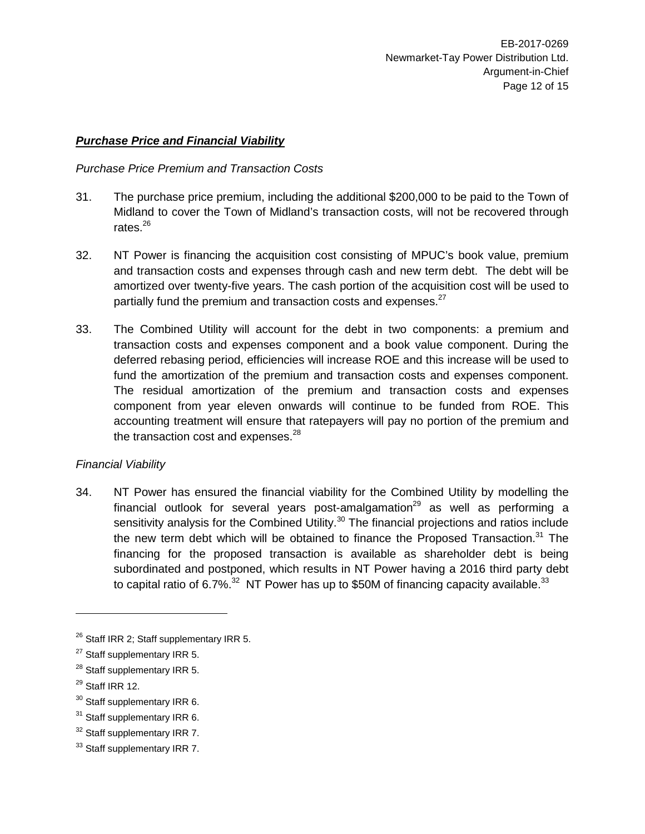### *Purchase Price and Financial Viability*

#### *Purchase Price Premium and Transaction Costs*

- 31. The purchase price premium, including the additional \$200,000 to be paid to the Town of Midland to cover the Town of Midland's transaction costs, will not be recovered through rates. $^{26}$
- 32. NT Power is financing the acquisition cost consisting of MPUC's book value, premium and transaction costs and expenses through cash and new term debt. The debt will be amortized over twenty-five years. The cash portion of the acquisition cost will be used to partially fund the premium and transaction costs and expenses.<sup>27</sup>
- 33. The Combined Utility will account for the debt in two components: a premium and transaction costs and expenses component and a book value component. During the deferred rebasing period, efficiencies will increase ROE and this increase will be used to fund the amortization of the premium and transaction costs and expenses component. The residual amortization of the premium and transaction costs and expenses component from year eleven onwards will continue to be funded from ROE. This accounting treatment will ensure that ratepayers will pay no portion of the premium and the transaction cost and expenses. $^{28}$

# *Financial Viability*

34. NT Power has ensured the financial viability for the Combined Utility by modelling the financial outlook for several years post-amalgamation<sup>29</sup> as well as performing a sensitivity analysis for the Combined Utility.<sup>30</sup> The financial projections and ratios include the new term debt which will be obtained to finance the Proposed Transaction.<sup>31</sup> The financing for the proposed transaction is available as shareholder debt is being subordinated and postponed, which results in NT Power having a 2016 third party debt to capital ratio of 6.7%.<sup>32</sup> NT Power has up to \$50M of financing capacity available.<sup>33</sup>

 $26$  Staff IRR 2; Staff supplementary IRR 5.

<sup>&</sup>lt;sup>27</sup> Staff supplementary IRR 5.

<sup>&</sup>lt;sup>28</sup> Staff supplementary IRR 5.

 $29$  Staff IRR 12.

<sup>&</sup>lt;sup>30</sup> Staff supplementary IRR 6.

<sup>&</sup>lt;sup>31</sup> Staff supplementary IRR 6.

<sup>&</sup>lt;sup>32</sup> Staff supplementary IRR 7.

<sup>&</sup>lt;sup>33</sup> Staff supplementary IRR 7.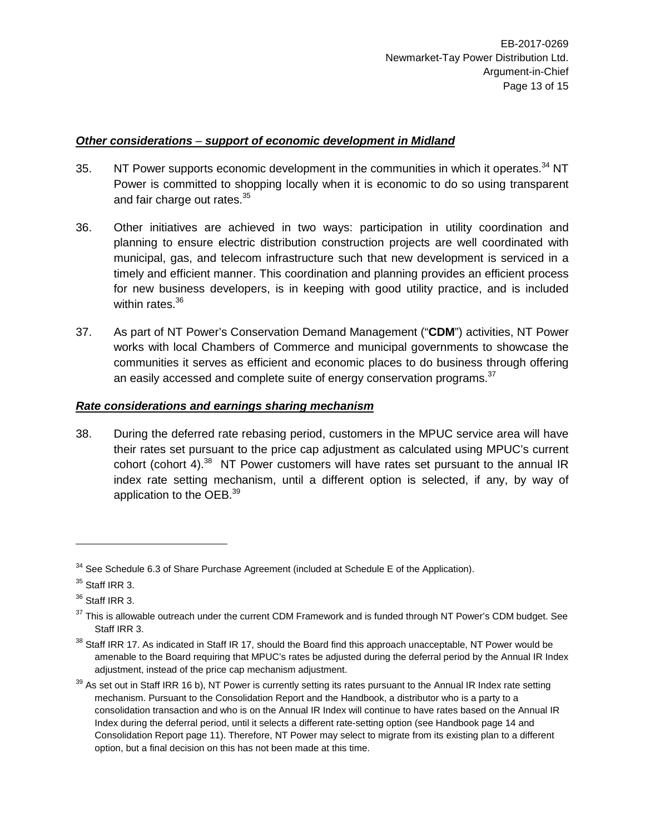### *Other considerations – support of economic development in Midland*

- 35. NT Power supports economic development in the communities in which it operates.<sup>34</sup> NT Power is committed to shopping locally when it is economic to do so using transparent and fair charge out rates.<sup>35</sup>
- 36. Other initiatives are achieved in two ways: participation in utility coordination and planning to ensure electric distribution construction projects are well coordinated with municipal, gas, and telecom infrastructure such that new development is serviced in a timely and efficient manner. This coordination and planning provides an efficient process for new business developers, is in keeping with good utility practice, and is included within rates.<sup>36</sup>
- 37. As part of NT Power's Conservation Demand Management ("**CDM**") activities, NT Power works with local Chambers of Commerce and municipal governments to showcase the communities it serves as efficient and economic places to do business through offering an easily accessed and complete suite of energy conservation programs. $37$

#### *Rate considerations and earnings sharing mechanism*

38. During the deferred rate rebasing period, customers in the MPUC service area will have their rates set pursuant to the price cap adjustment as calculated using MPUC's current cohort (cohort 4). $38$  NT Power customers will have rates set pursuant to the annual IR index rate setting mechanism, until a different option is selected, if any, by way of application to the OEB.<sup>39</sup>

<sup>&</sup>lt;sup>34</sup> See Schedule 6.3 of Share Purchase Agreement (included at Schedule E of the Application).

<sup>&</sup>lt;sup>35</sup> Staff IRR 3.

 $36$  Staff IRR 3.

 $37$  This is allowable outreach under the current CDM Framework and is funded through NT Power's CDM budget. See Staff IRR 3.

 $38$  Staff IRR 17. As indicated in Staff IR 17, should the Board find this approach unacceptable, NT Power would be amenable to the Board requiring that MPUC's rates be adjusted during the deferral period by the Annual IR Index adjustment, instead of the price cap mechanism adjustment.

 $39$  As set out in Staff IRR 16 b), NT Power is currently setting its rates pursuant to the Annual IR Index rate setting mechanism. Pursuant to the Consolidation Report and the Handbook, a distributor who is a party to a consolidation transaction and who is on the Annual IR Index will continue to have rates based on the Annual IR Index during the deferral period, until it selects a different rate-setting option (see Handbook page 14 and Consolidation Report page 11). Therefore, NT Power may select to migrate from its existing plan to a different option, but a final decision on this has not been made at this time.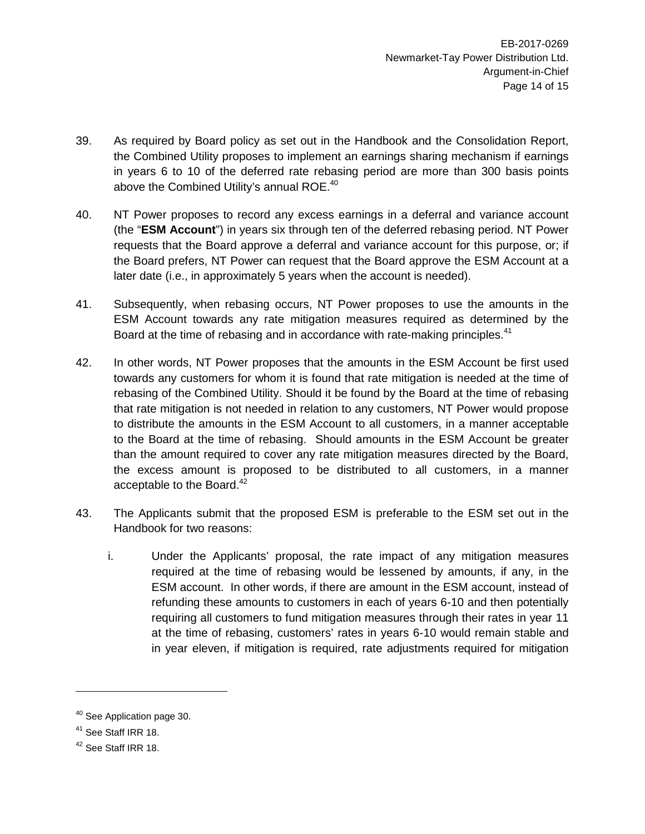- 39. As required by Board policy as set out in the Handbook and the Consolidation Report, the Combined Utility proposes to implement an earnings sharing mechanism if earnings in years 6 to 10 of the deferred rate rebasing period are more than 300 basis points above the Combined Utility's annual  $ROE<sub>140</sub>$
- 40. NT Power proposes to record any excess earnings in a deferral and variance account (the "**ESM Account**") in years six through ten of the deferred rebasing period. NT Power requests that the Board approve a deferral and variance account for this purpose, or; if the Board prefers, NT Power can request that the Board approve the ESM Account at a later date (i.e., in approximately 5 years when the account is needed).
- 41. Subsequently, when rebasing occurs, NT Power proposes to use the amounts in the ESM Account towards any rate mitigation measures required as determined by the Board at the time of rebasing and in accordance with rate-making principles.<sup>41</sup>
- 42. In other words, NT Power proposes that the amounts in the ESM Account be first used towards any customers for whom it is found that rate mitigation is needed at the time of rebasing of the Combined Utility. Should it be found by the Board at the time of rebasing that rate mitigation is not needed in relation to any customers, NT Power would propose to distribute the amounts in the ESM Account to all customers, in a manner acceptable to the Board at the time of rebasing. Should amounts in the ESM Account be greater than the amount required to cover any rate mitigation measures directed by the Board, the excess amount is proposed to be distributed to all customers, in a manner acceptable to the Board.<sup>42</sup>
- 43. The Applicants submit that the proposed ESM is preferable to the ESM set out in the Handbook for two reasons:
	- i. Under the Applicants' proposal, the rate impact of any mitigation measures required at the time of rebasing would be lessened by amounts, if any, in the ESM account. In other words, if there are amount in the ESM account, instead of refunding these amounts to customers in each of years 6-10 and then potentially requiring all customers to fund mitigation measures through their rates in year 11 at the time of rebasing, customers' rates in years 6-10 would remain stable and in year eleven, if mitigation is required, rate adjustments required for mitigation

<sup>&</sup>lt;sup>40</sup> See Application page 30.

<sup>&</sup>lt;sup>41</sup> See Staff IRR 18.

<sup>&</sup>lt;sup>42</sup> See Staff IRR 18.